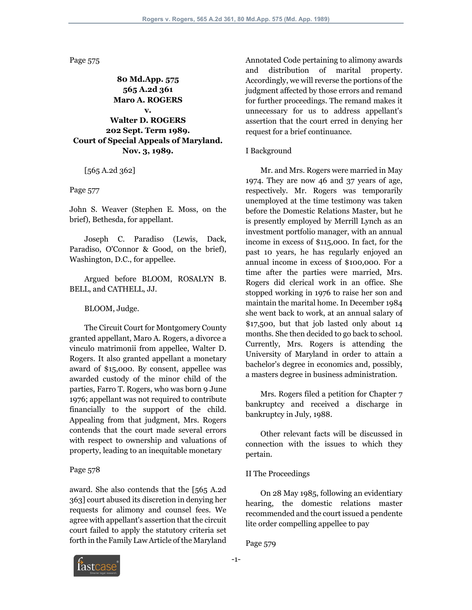Page 575

**80 Md.App. 575 565 A.2d 361 Maro A. ROGERS v. Walter D. ROGERS 202 Sept. Term 1989. Court of Special Appeals of Maryland. Nov. 3, 1989.**

[565 A.2d 362]

Page 577

John S. Weaver (Stephen E. Moss, on the brief), Bethesda, for appellant.

 Joseph C. Paradiso (Lewis, Dack, Paradiso, O'Connor & Good, on the brief), Washington, D.C., for appellee.

 Argued before BLOOM, ROSALYN B. BELL, and CATHELL, JJ.

BLOOM, Judge.

 The Circuit Court for Montgomery County granted appellant, Maro A. Rogers, a divorce a vinculo matrimonii from appellee, Walter D. Rogers. It also granted appellant a monetary award of \$15,000. By consent, appellee was awarded custody of the minor child of the parties, Farro T. Rogers, who was born 9 June 1976; appellant was not required to contribute financially to the support of the child. Appealing from that judgment, Mrs. Rogers contends that the court made several errors with respect to ownership and valuations of property, leading to an inequitable monetary

## Page 578

award. She also contends that the [565 A.2d 363] court abused its discretion in denying her requests for alimony and counsel fees. We agree with appellant's assertion that the circuit court failed to apply the statutory criteria set forth in the Family Law Article of the Maryland

Annotated Code pertaining to alimony awards and distribution of marital property. Accordingly, we will reverse the portions of the judgment affected by those errors and remand for further proceedings. The remand makes it unnecessary for us to address appellant's assertion that the court erred in denying her request for a brief continuance.

### I Background

 Mr. and Mrs. Rogers were married in May 1974. They are now 46 and 37 years of age, respectively. Mr. Rogers was temporarily unemployed at the time testimony was taken before the Domestic Relations Master, but he is presently employed by Merrill Lynch as an investment portfolio manager, with an annual income in excess of \$115,000. In fact, for the past 10 years, he has regularly enjoyed an annual income in excess of \$100,000. For a time after the parties were married, Mrs. Rogers did clerical work in an office. She stopped working in 1976 to raise her son and maintain the marital home. In December 1984 she went back to work, at an annual salary of \$17,500, but that job lasted only about 14 months. She then decided to go back to school. Currently, Mrs. Rogers is attending the University of Maryland in order to attain a bachelor's degree in economics and, possibly, a masters degree in business administration.

 Mrs. Rogers filed a petition for Chapter 7 bankruptcy and received a discharge in bankruptcy in July, 1988.

 Other relevant facts will be discussed in connection with the issues to which they pertain.

## II The Proceedings

 On 28 May 1985, following an evidentiary hearing, the domestic relations master recommended and the court issued a pendente lite order compelling appellee to pay

Page 579

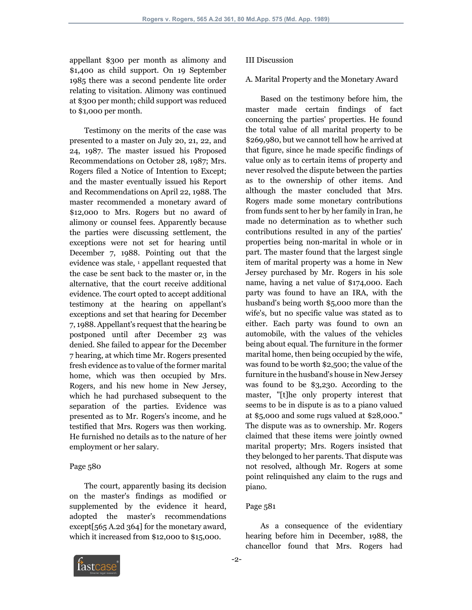appellant \$300 per month as alimony and \$1,400 as child support. On 19 September 1985 there was a second pendente lite order relating to visitation. Alimony was continued at \$300 per month; child support was reduced to \$1,000 per month.

 Testimony on the merits of the case was presented to a master on July 20, 21, 22, and 24, 1987. The master issued his Proposed Recommendations on October 28, 1987; Mrs. Rogers filed a Notice of Intention to Except; and the master eventually issued his Report and Recommendations on April 22, 1988. The master recommended a monetary award of \$12,000 to Mrs. Rogers but no award of alimony or counsel fees. Apparently because the parties were discussing settlement, the exceptions were not set for hearing until December 7, 1988. Pointing out that the evidence was stale, <sup>1</sup> appellant requested that the case be sent back to the master or, in the alternative, that the court receive additional evidence. The court opted to accept additional testimony at the hearing on appellant's exceptions and set that hearing for December 7, 1988. Appellant's request that the hearing be postponed until after December 23 was denied. She failed to appear for the December 7 hearing, at which time Mr. Rogers presented fresh evidence as to value of the former marital home, which was then occupied by Mrs. Rogers, and his new home in New Jersey, which he had purchased subsequent to the separation of the parties. Evidence was presented as to Mr. Rogers's income, and he testified that Mrs. Rogers was then working. He furnished no details as to the nature of her employment or her salary.

### Page 580

 The court, apparently basing its decision on the master's findings as modified or supplemented by the evidence it heard, adopted the master's recommendations except[565 A.2d 364] for the monetary award, which it increased from \$12,000 to \$15,000.

### III Discussion

#### A. Marital Property and the Monetary Award

 Based on the testimony before him, the master made certain findings of fact concerning the parties' properties. He found the total value of all marital property to be \$269,980, but we cannot tell how he arrived at that figure, since he made specific findings of value only as to certain items of property and never resolved the dispute between the parties as to the ownership of other items. And although the master concluded that Mrs. Rogers made some monetary contributions from funds sent to her by her family in Iran, he made no determination as to whether such contributions resulted in any of the parties' properties being non-marital in whole or in part. The master found that the largest single item of marital property was a home in New Jersey purchased by Mr. Rogers in his sole name, having a net value of \$174,000. Each party was found to have an IRA, with the husband's being worth \$5,000 more than the wife's, but no specific value was stated as to either. Each party was found to own an automobile, with the values of the vehicles being about equal. The furniture in the former marital home, then being occupied by the wife, was found to be worth \$2,500; the value of the furniture in the husband's house in New Jersey was found to be \$3,230. According to the master, "[t]he only property interest that seems to be in dispute is as to a piano valued at \$5,000 and some rugs valued at \$28,000." The dispute was as to ownership. Mr. Rogers claimed that these items were jointly owned marital property; Mrs. Rogers insisted that they belonged to her parents. That dispute was not resolved, although Mr. Rogers at some point relinquished any claim to the rugs and piano.

#### Page 581

 As a consequence of the evidentiary hearing before him in December, 1988, the chancellor found that Mrs. Rogers had

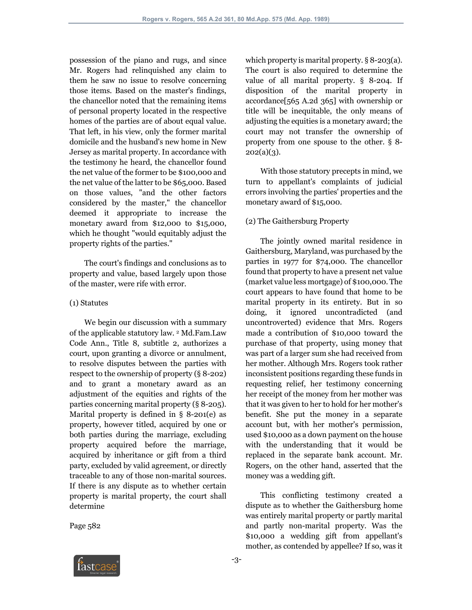possession of the piano and rugs, and since Mr. Rogers had relinquished any claim to them he saw no issue to resolve concerning those items. Based on the master's findings, the chancellor noted that the remaining items of personal property located in the respective homes of the parties are of about equal value. That left, in his view, only the former marital domicile and the husband's new home in New Jersey as marital property. In accordance with the testimony he heard, the chancellor found the net value of the former to be \$100,000 and the net value of the latter to be \$65,000. Based on those values, "and the other factors considered by the master," the chancellor deemed it appropriate to increase the monetary award from \$12,000 to \$15,000, which he thought "would equitably adjust the property rights of the parties."

 The court's findings and conclusions as to property and value, based largely upon those of the master, were rife with error.

### (1) Statutes

 We begin our discussion with a summary of the applicable statutory law. 2 Md.Fam.Law Code Ann., Title 8, subtitle 2, authorizes a court, upon granting a divorce or annulment, to resolve disputes between the parties with respect to the ownership of property (§ 8-202) and to grant a monetary award as an adjustment of the equities and rights of the parties concerning marital property (§ 8-205). Marital property is defined in § 8-201(e) as property, however titled, acquired by one or both parties during the marriage, excluding property acquired before the marriage, acquired by inheritance or gift from a third party, excluded by valid agreement, or directly traceable to any of those non-marital sources. If there is any dispute as to whether certain property is marital property, the court shall determine

Page 582

which property is marital property.  $\S 8$ -203(a). The court is also required to determine the value of all marital property. § 8-204. If disposition of the marital property in accordance[565 A.2d 365] with ownership or title will be inequitable, the only means of adjusting the equities is a monetary award; the court may not transfer the ownership of property from one spouse to the other. § 8-  $202(a)(3)$ .

 With those statutory precepts in mind, we turn to appellant's complaints of judicial errors involving the parties' properties and the monetary award of \$15,000.

## (2) The Gaithersburg Property

 The jointly owned marital residence in Gaithersburg, Maryland, was purchased by the parties in 1977 for \$74,000. The chancellor found that property to have a present net value (market value less mortgage) of \$100,000. The court appears to have found that home to be marital property in its entirety. But in so doing, it ignored uncontradicted (and uncontroverted) evidence that Mrs. Rogers made a contribution of \$10,000 toward the purchase of that property, using money that was part of a larger sum she had received from her mother. Although Mrs. Rogers took rather inconsistent positions regarding these funds in requesting relief, her testimony concerning her receipt of the money from her mother was that it was given to her to hold for her mother's benefit. She put the money in a separate account but, with her mother's permission, used \$10,000 as a down payment on the house with the understanding that it would be replaced in the separate bank account. Mr. Rogers, on the other hand, asserted that the money was a wedding gift.

 This conflicting testimony created a dispute as to whether the Gaithersburg home was entirely marital property or partly marital and partly non-marital property. Was the \$10,000 a wedding gift from appellant's mother, as contended by appellee? If so, was it

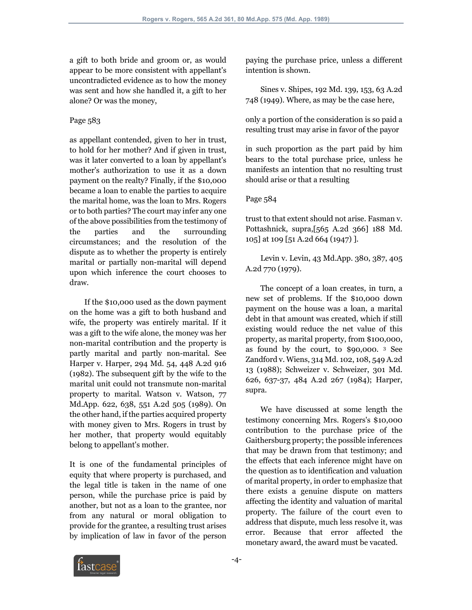a gift to both bride and groom or, as would appear to be more consistent with appellant's uncontradicted evidence as to how the money was sent and how she handled it, a gift to her alone? Or was the money,

# Page 583

as appellant contended, given to her in trust, to hold for her mother? And if given in trust, was it later converted to a loan by appellant's mother's authorization to use it as a down payment on the realty? Finally, if the \$10,000 became a loan to enable the parties to acquire the marital home, was the loan to Mrs. Rogers or to both parties? The court may infer any one of the above possibilities from the testimony of the parties and the surrounding circumstances; and the resolution of the dispute as to whether the property is entirely marital or partially non-marital will depend upon which inference the court chooses to draw.

 If the \$10,000 used as the down payment on the home was a gift to both husband and wife, the property was entirely marital. If it was a gift to the wife alone, the money was her non-marital contribution and the property is partly marital and partly non-marital. See Harper v. Harper, 294 Md. 54, 448 A.2d 916 (1982). The subsequent gift by the wife to the marital unit could not transmute non-marital property to marital. Watson v. Watson, 77 Md.App. 622, 638, 551 A.2d 505 (1989). On the other hand, if the parties acquired property with money given to Mrs. Rogers in trust by her mother, that property would equitably belong to appellant's mother.

It is one of the fundamental principles of equity that where property is purchased, and the legal title is taken in the name of one person, while the purchase price is paid by another, but not as a loan to the grantee, nor from any natural or moral obligation to provide for the grantee, a resulting trust arises by implication of law in favor of the person

paying the purchase price, unless a different intention is shown.

 Sines v. Shipes, 192 Md. 139, 153, 63 A.2d 748 (1949). Where, as may be the case here,

only a portion of the consideration is so paid a resulting trust may arise in favor of the payor

in such proportion as the part paid by him bears to the total purchase price, unless he manifests an intention that no resulting trust should arise or that a resulting

# Page 584

trust to that extent should not arise. Fasman v. Pottashnick, supra,[565 A.2d 366] 188 Md. 105] at 109 [51 A.2d 664 (1947) ].

 Levin v. Levin, 43 Md.App. 380, 387, 405 A.2d 770 (1979).

 The concept of a loan creates, in turn, a new set of problems. If the \$10,000 down payment on the house was a loan, a marital debt in that amount was created, which if still existing would reduce the net value of this property, as marital property, from \$100,000, as found by the court, to \$90,000. 3 See Zandford v. Wiens, 314 Md. 102, 108, 549 A.2d 13 (1988); Schweizer v. Schweizer, 301 Md. 626, 637-37, 484 A.2d 267 (1984); Harper, supra.

 We have discussed at some length the testimony concerning Mrs. Rogers's \$10,000 contribution to the purchase price of the Gaithersburg property; the possible inferences that may be drawn from that testimony; and the effects that each inference might have on the question as to identification and valuation of marital property, in order to emphasize that there exists a genuine dispute on matters affecting the identity and valuation of marital property. The failure of the court even to address that dispute, much less resolve it, was error. Because that error affected the monetary award, the award must be vacated.

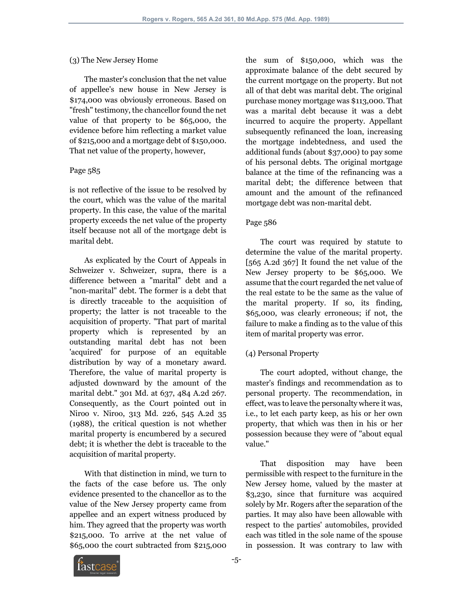## (3) The New Jersey Home

 The master's conclusion that the net value of appellee's new house in New Jersey is \$174,000 was obviously erroneous. Based on "fresh" testimony, the chancellor found the net value of that property to be \$65,000, the evidence before him reflecting a market value of \$215,000 and a mortgage debt of \$150,000. That net value of the property, however,

# Page 585

is not reflective of the issue to be resolved by the court, which was the value of the marital property. In this case, the value of the marital property exceeds the net value of the property itself because not all of the mortgage debt is marital debt.

 As explicated by the Court of Appeals in Schweizer v. Schweizer, supra, there is a difference between a "marital" debt and a "non-marital" debt. The former is a debt that is directly traceable to the acquisition of property; the latter is not traceable to the acquisition of property. "That part of marital property which is represented by an outstanding marital debt has not been 'acquired' for purpose of an equitable distribution by way of a monetary award. Therefore, the value of marital property is adjusted downward by the amount of the marital debt." 301 Md. at 637, 484 A.2d 267. Consequently, as the Court pointed out in Niroo v. Niroo, 313 Md. 226, 545 A.2d 35 (1988), the critical question is not whether marital property is encumbered by a secured debt; it is whether the debt is traceable to the acquisition of marital property.

 With that distinction in mind, we turn to the facts of the case before us. The only evidence presented to the chancellor as to the value of the New Jersey property came from appellee and an expert witness produced by him. They agreed that the property was worth \$215,000. To arrive at the net value of \$65,000 the court subtracted from \$215,000

the sum of \$150,000, which was the approximate balance of the debt secured by the current mortgage on the property. But not all of that debt was marital debt. The original purchase money mortgage was \$113,000. That was a marital debt because it was a debt incurred to acquire the property. Appellant subsequently refinanced the loan, increasing the mortgage indebtedness, and used the additional funds (about \$37,000) to pay some of his personal debts. The original mortgage balance at the time of the refinancing was a marital debt; the difference between that amount and the amount of the refinanced mortgage debt was non-marital debt.

# Page 586

 The court was required by statute to determine the value of the marital property. [565 A.2d 367] It found the net value of the New Jersey property to be \$65,000. We assume that the court regarded the net value of the real estate to be the same as the value of the marital property. If so, its finding, \$65,000, was clearly erroneous; if not, the failure to make a finding as to the value of this item of marital property was error.

# (4) Personal Property

 The court adopted, without change, the master's findings and recommendation as to personal property. The recommendation, in effect, was to leave the personalty where it was, i.e., to let each party keep, as his or her own property, that which was then in his or her possession because they were of "about equal value."

 That disposition may have been permissible with respect to the furniture in the New Jersey home, valued by the master at \$3,230, since that furniture was acquired solely by Mr. Rogers after the separation of the parties. It may also have been allowable with respect to the parties' automobiles, provided each was titled in the sole name of the spouse in possession. It was contrary to law with

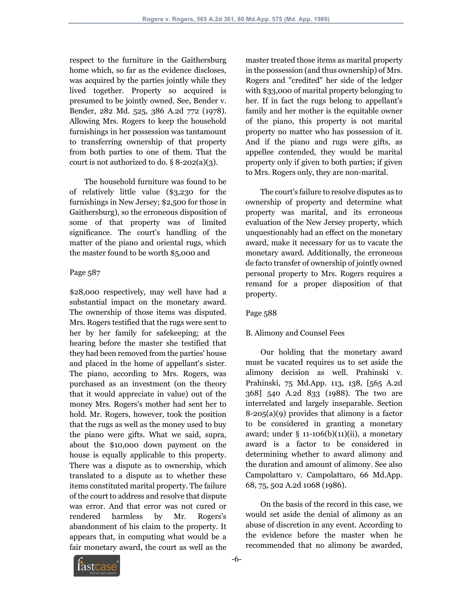respect to the furniture in the Gaithersburg home which, so far as the evidence discloses, was acquired by the parties jointly while they lived together. Property so acquired is presumed to be jointly owned. See, Bender v. Bender, 282 Md. 525, 386 A.2d 772 (1978). Allowing Mrs. Rogers to keep the household furnishings in her possession was tantamount to transferring ownership of that property from both parties to one of them. That the court is not authorized to do.  $\S 8$ -202(a)(3).

 The household furniture was found to be of relatively little value (\$3,230 for the furnishings in New Jersey; \$2,500 for those in Gaithersburg), so the erroneous disposition of some of that property was of limited significance. The court's handling of the matter of the piano and oriental rugs, which the master found to be worth \$5,000 and

### Page 587

\$28,000 respectively, may well have had a substantial impact on the monetary award. The ownership of those items was disputed. Mrs. Rogers testified that the rugs were sent to her by her family for safekeeping; at the hearing before the master she testified that they had been removed from the parties' house and placed in the home of appellant's sister. The piano, according to Mrs. Rogers, was purchased as an investment (on the theory that it would appreciate in value) out of the money Mrs. Rogers's mother had sent her to hold. Mr. Rogers, however, took the position that the rugs as well as the money used to buy the piano were gifts. What we said, supra, about the \$10,000 down payment on the house is equally applicable to this property. There was a dispute as to ownership, which translated to a dispute as to whether these items constituted marital property. The failure of the court to address and resolve that dispute was error. And that error was not cured or rendered harmless by Mr. Rogers's abandonment of his claim to the property. It appears that, in computing what would be a fair monetary award, the court as well as the master treated those items as marital property in the possession (and thus ownership) of Mrs. Rogers and "credited" her side of the ledger with \$33,000 of marital property belonging to her. If in fact the rugs belong to appellant's family and her mother is the equitable owner of the piano, this property is not marital property no matter who has possession of it. And if the piano and rugs were gifts, as appellee contended, they would be marital property only if given to both parties; if given to Mrs. Rogers only, they are non-marital.

 The court's failure to resolve disputes as to ownership of property and determine what property was marital, and its erroneous evaluation of the New Jersey property, which unquestionably had an effect on the monetary award, make it necessary for us to vacate the monetary award. Additionally, the erroneous de facto transfer of ownership of jointly owned personal property to Mrs. Rogers requires a remand for a proper disposition of that property.

## Page 588

## B. Alimony and Counsel Fees

 Our holding that the monetary award must be vacated requires us to set aside the alimony decision as well. Prahinski v. Prahinski, 75 Md.App. 113, 138, [565 A.2d 368] 540 A.2d 833 (1988). The two are interrelated and largely inseparable. Section 8-205(a)(9) provides that alimony is a factor to be considered in granting a monetary award; under  $\S$  11-106(b)(11)(ii), a monetary award is a factor to be considered in determining whether to award alimony and the duration and amount of alimony. See also Campolattaro v. Campolattaro, 66 Md.App. 68, 75, 502 A.2d 1068 (1986).

 On the basis of the record in this case, we would set aside the denial of alimony as an abuse of discretion in any event. According to the evidence before the master when he recommended that no alimony be awarded,

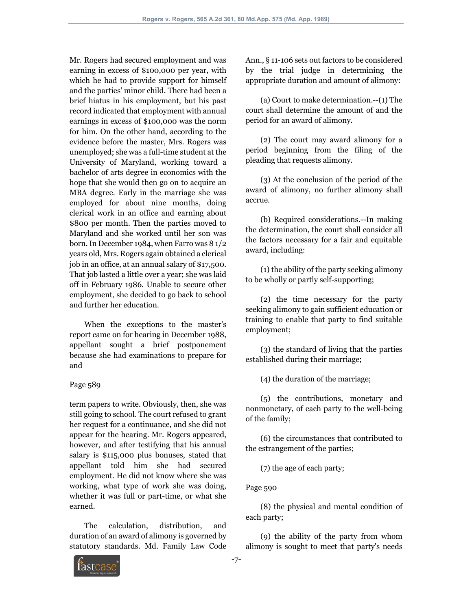Mr. Rogers had secured employment and was earning in excess of \$100,000 per year, with which he had to provide support for himself and the parties' minor child. There had been a brief hiatus in his employment, but his past record indicated that employment with annual earnings in excess of \$100,000 was the norm for him. On the other hand, according to the evidence before the master, Mrs. Rogers was unemployed; she was a full-time student at the University of Maryland, working toward a bachelor of arts degree in economics with the hope that she would then go on to acquire an MBA degree. Early in the marriage she was employed for about nine months, doing clerical work in an office and earning about \$800 per month. Then the parties moved to Maryland and she worked until her son was born. In December 1984, when Farro was 8 1/2 years old, Mrs. Rogers again obtained a clerical job in an office, at an annual salary of \$17,500. That job lasted a little over a year; she was laid off in February 1986. Unable to secure other employment, she decided to go back to school and further her education.

 When the exceptions to the master's report came on for hearing in December 1988, appellant sought a brief postponement because she had examinations to prepare for and

## Page 589

term papers to write. Obviously, then, she was still going to school. The court refused to grant her request for a continuance, and she did not appear for the hearing. Mr. Rogers appeared, however, and after testifying that his annual salary is \$115,000 plus bonuses, stated that appellant told him she had secured employment. He did not know where she was working, what type of work she was doing, whether it was full or part-time, or what she earned.

 The calculation, distribution, and duration of an award of alimony is governed by statutory standards. Md. Family Law Code Ann., § 11-106 sets out factors to be considered by the trial judge in determining the appropriate duration and amount of alimony:

 (a) Court to make determination.--(1) The court shall determine the amount of and the period for an award of alimony.

 (2) The court may award alimony for a period beginning from the filing of the pleading that requests alimony.

 (3) At the conclusion of the period of the award of alimony, no further alimony shall accrue.

 (b) Required considerations.--In making the determination, the court shall consider all the factors necessary for a fair and equitable award, including:

 (1) the ability of the party seeking alimony to be wholly or partly self-supporting;

 (2) the time necessary for the party seeking alimony to gain sufficient education or training to enable that party to find suitable employment;

 (3) the standard of living that the parties established during their marriage;

(4) the duration of the marriage;

 (5) the contributions, monetary and nonmonetary, of each party to the well-being of the family;

 (6) the circumstances that contributed to the estrangement of the parties;

(7) the age of each party;

Page 590

 (8) the physical and mental condition of each party;

 (9) the ability of the party from whom alimony is sought to meet that party's needs

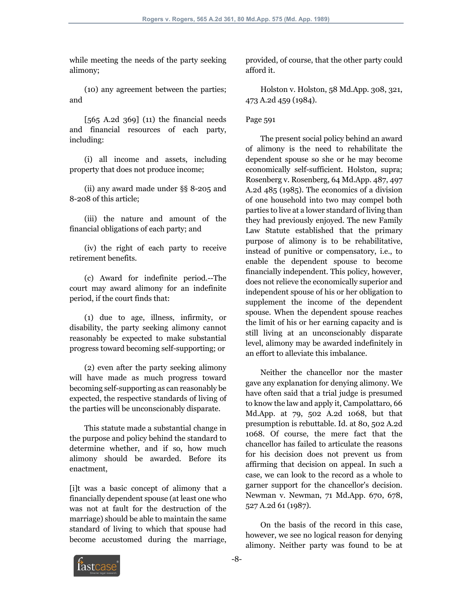while meeting the needs of the party seeking alimony;

 (10) any agreement between the parties; and

 $[565 \text{ A}.2d \text{ 369}]$  (11) the financial needs and financial resources of each party, including:

 (i) all income and assets, including property that does not produce income;

 (ii) any award made under §§ 8-205 and 8-208 of this article;

 (iii) the nature and amount of the financial obligations of each party; and

 (iv) the right of each party to receive retirement benefits.

 (c) Award for indefinite period.--The court may award alimony for an indefinite period, if the court finds that:

 (1) due to age, illness, infirmity, or disability, the party seeking alimony cannot reasonably be expected to make substantial progress toward becoming self-supporting; or

 (2) even after the party seeking alimony will have made as much progress toward becoming self-supporting as can reasonably be expected, the respective standards of living of the parties will be unconscionably disparate.

 This statute made a substantial change in the purpose and policy behind the standard to determine whether, and if so, how much alimony should be awarded. Before its enactment,

[i]t was a basic concept of alimony that a financially dependent spouse (at least one who was not at fault for the destruction of the marriage) should be able to maintain the same standard of living to which that spouse had become accustomed during the marriage, provided, of course, that the other party could afford it.

 Holston v. Holston, 58 Md.App. 308, 321, 473 A.2d 459 (1984).

## Page 591

 The present social policy behind an award of alimony is the need to rehabilitate the dependent spouse so she or he may become economically self-sufficient. Holston, supra; Rosenberg v. Rosenberg, 64 Md.App. 487, 497 A.2d 485 (1985). The economics of a division of one household into two may compel both parties to live at a lower standard of living than they had previously enjoyed. The new Family Law Statute established that the primary purpose of alimony is to be rehabilitative, instead of punitive or compensatory, i.e., to enable the dependent spouse to become financially independent. This policy, however, does not relieve the economically superior and independent spouse of his or her obligation to supplement the income of the dependent spouse. When the dependent spouse reaches the limit of his or her earning capacity and is still living at an unconscionably disparate level, alimony may be awarded indefinitely in an effort to alleviate this imbalance.

 Neither the chancellor nor the master gave any explanation for denying alimony. We have often said that a trial judge is presumed to know the law and apply it, Campolattaro, 66 Md.App. at 79, 502 A.2d 1068, but that presumption is rebuttable. Id. at 80, 502 A.2d 1068. Of course, the mere fact that the chancellor has failed to articulate the reasons for his decision does not prevent us from affirming that decision on appeal. In such a case, we can look to the record as a whole to garner support for the chancellor's decision. Newman v. Newman, 71 Md.App. 670, 678, 527 A.2d 61 (1987).

 On the basis of the record in this case, however, we see no logical reason for denying alimony. Neither party was found to be at

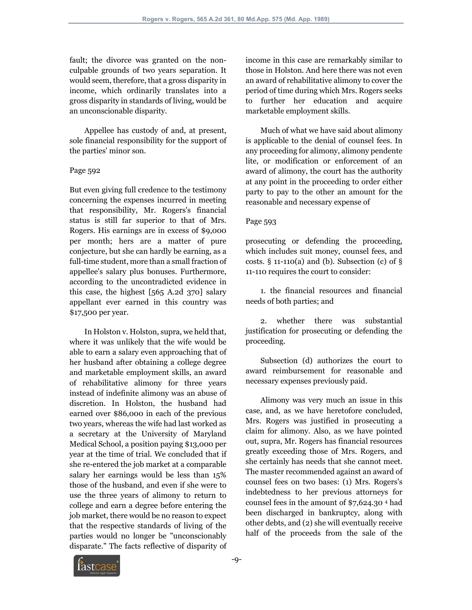fault; the divorce was granted on the nonculpable grounds of two years separation. It would seem, therefore, that a gross disparity in income, which ordinarily translates into a gross disparity in standards of living, would be an unconscionable disparity.

 Appellee has custody of and, at present, sole financial responsibility for the support of the parties' minor son.

### Page 592

But even giving full credence to the testimony concerning the expenses incurred in meeting that responsibility, Mr. Rogers's financial status is still far superior to that of Mrs. Rogers. His earnings are in excess of \$9,000 per month; hers are a matter of pure conjecture, but she can hardly be earning, as a full-time student, more than a small fraction of appellee's salary plus bonuses. Furthermore, according to the uncontradicted evidence in this case, the highest [565 A.2d 370] salary appellant ever earned in this country was \$17,500 per year.

 In Holston v. Holston, supra, we held that, where it was unlikely that the wife would be able to earn a salary even approaching that of her husband after obtaining a college degree and marketable employment skills, an award of rehabilitative alimony for three years instead of indefinite alimony was an abuse of discretion. In Holston, the husband had earned over \$86,000 in each of the previous two years, whereas the wife had last worked as a secretary at the University of Maryland Medical School, a position paying \$13,000 per year at the time of trial. We concluded that if she re-entered the job market at a comparable salary her earnings would be less than 15% those of the husband, and even if she were to use the three years of alimony to return to college and earn a degree before entering the job market, there would be no reason to expect that the respective standards of living of the parties would no longer be "unconscionably disparate." The facts reflective of disparity of income in this case are remarkably similar to those in Holston. And here there was not even an award of rehabilitative alimony to cover the period of time during which Mrs. Rogers seeks to further her education and acquire marketable employment skills.

 Much of what we have said about alimony is applicable to the denial of counsel fees. In any proceeding for alimony, alimony pendente lite, or modification or enforcement of an award of alimony, the court has the authority at any point in the proceeding to order either party to pay to the other an amount for the reasonable and necessary expense of

## Page 593

prosecuting or defending the proceeding, which includes suit money, counsel fees, and costs.  $\S$  11-110(a) and (b). Subsection (c) of  $\S$ 11-110 requires the court to consider:

 1. the financial resources and financial needs of both parties; and

 2. whether there was substantial justification for prosecuting or defending the proceeding.

 Subsection (d) authorizes the court to award reimbursement for reasonable and necessary expenses previously paid.

 Alimony was very much an issue in this case, and, as we have heretofore concluded, Mrs. Rogers was justified in prosecuting a claim for alimony. Also, as we have pointed out, supra, Mr. Rogers has financial resources greatly exceeding those of Mrs. Rogers, and she certainly has needs that she cannot meet. The master recommended against an award of counsel fees on two bases: (1) Mrs. Rogers's indebtedness to her previous attorneys for counsel fees in the amount of \$7,624.30 4 had been discharged in bankruptcy, along with other debts, and (2) she will eventually receive half of the proceeds from the sale of the

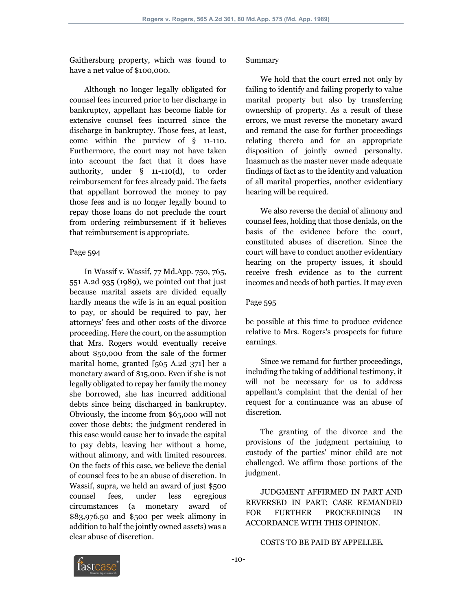Gaithersburg property, which was found to have a net value of \$100,000.

 Although no longer legally obligated for counsel fees incurred prior to her discharge in bankruptcy, appellant has become liable for extensive counsel fees incurred since the discharge in bankruptcy. Those fees, at least, come within the purview of § 11-110. Furthermore, the court may not have taken into account the fact that it does have authority, under § 11-110(d), to order reimbursement for fees already paid. The facts that appellant borrowed the money to pay those fees and is no longer legally bound to repay those loans do not preclude the court from ordering reimbursement if it believes that reimbursement is appropriate.

### Page 594

 In Wassif v. Wassif, 77 Md.App. 750, 765, 551 A.2d 935 (1989), we pointed out that just because marital assets are divided equally hardly means the wife is in an equal position to pay, or should be required to pay, her attorneys' fees and other costs of the divorce proceeding. Here the court, on the assumption that Mrs. Rogers would eventually receive about \$50,000 from the sale of the former marital home, granted [565 A.2d 371] her a monetary award of \$15,000. Even if she is not legally obligated to repay her family the money she borrowed, she has incurred additional debts since being discharged in bankruptcy. Obviously, the income from \$65,000 will not cover those debts; the judgment rendered in this case would cause her to invade the capital to pay debts, leaving her without a home, without alimony, and with limited resources. On the facts of this case, we believe the denial of counsel fees to be an abuse of discretion. In Wassif, supra, we held an award of just \$500 counsel fees, under less egregious circumstances (a monetary award of \$83,976.50 and \$500 per week alimony in addition to half the jointly owned assets) was a clear abuse of discretion.

### Summary

 We hold that the court erred not only by failing to identify and failing properly to value marital property but also by transferring ownership of property. As a result of these errors, we must reverse the monetary award and remand the case for further proceedings relating thereto and for an appropriate disposition of jointly owned personalty. Inasmuch as the master never made adequate findings of fact as to the identity and valuation of all marital properties, another evidentiary hearing will be required.

 We also reverse the denial of alimony and counsel fees, holding that those denials, on the basis of the evidence before the court, constituted abuses of discretion. Since the court will have to conduct another evidentiary hearing on the property issues, it should receive fresh evidence as to the current incomes and needs of both parties. It may even

### Page 595

be possible at this time to produce evidence relative to Mrs. Rogers's prospects for future earnings.

 Since we remand for further proceedings, including the taking of additional testimony, it will not be necessary for us to address appellant's complaint that the denial of her request for a continuance was an abuse of discretion.

 The granting of the divorce and the provisions of the judgment pertaining to custody of the parties' minor child are not challenged. We affirm those portions of the judgment.

 JUDGMENT AFFIRMED IN PART AND REVERSED IN PART; CASE REMANDED FOR FURTHER PROCEEDINGS IN ACCORDANCE WITH THIS OPINION.

### COSTS TO BE PAID BY APPELLEE.